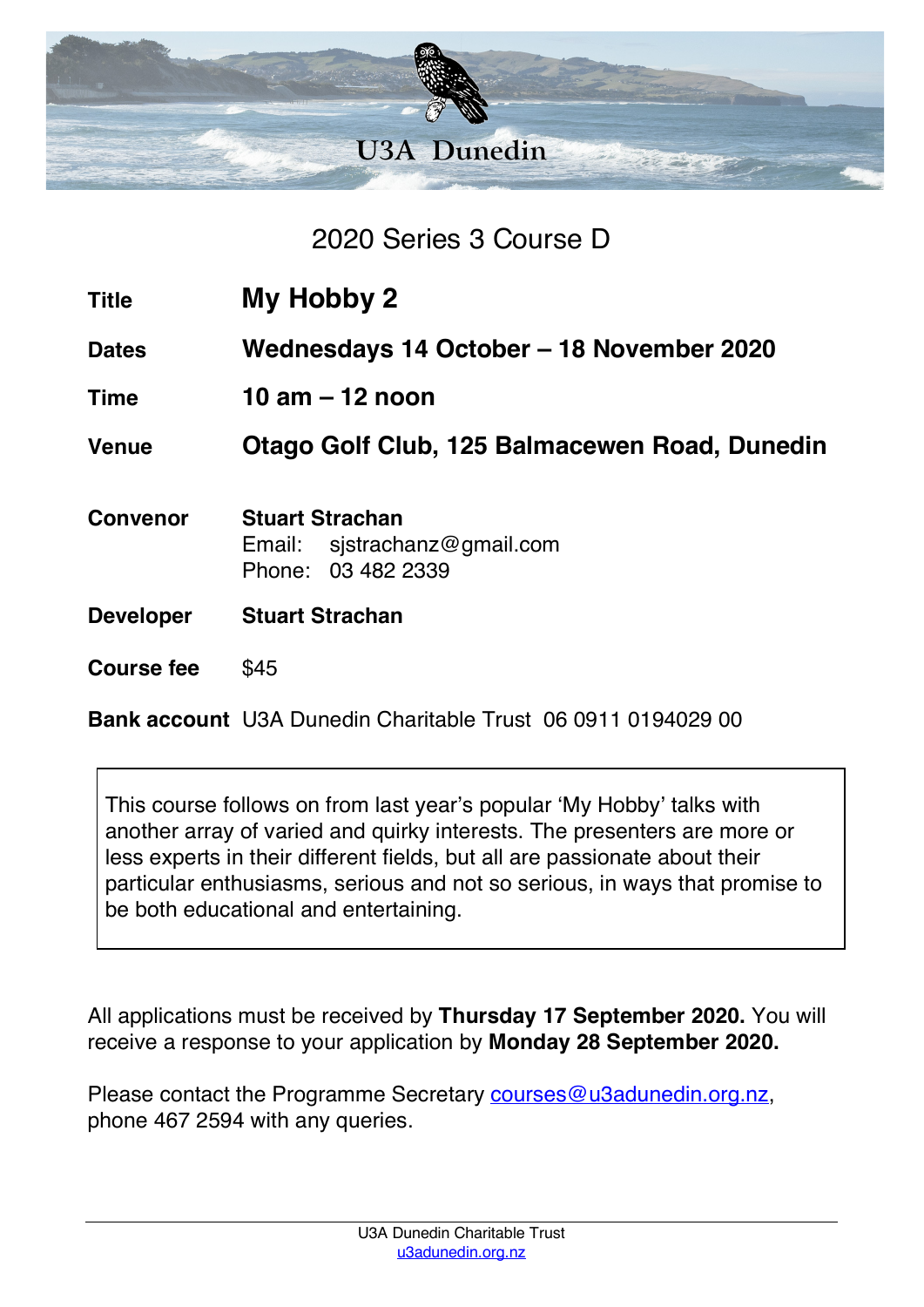

2020 Series 3 Course D

- **Title My Hobby 2**
- **Dates Wednesdays 14 October – 18 November 2020**
- **Time 10 am – 12 noon**

**Venue Otago Golf Club, 125 Balmacewen Road, Dunedin**

- **Convenor Stuart Strachan** Email: sjstrachanz@gmail.com Phone: 03 482 2339 **Developer Stuart Strachan**
- **Course fee** \$45

**Bank account** U3A Dunedin Charitable Trust 06 0911 0194029 00

This course follows on from last year's popular 'My Hobby' talks with another array of varied and quirky interests. The presenters are more or less experts in their different fields, but all are passionate about their particular enthusiasms, serious and not so serious, in ways that promise to be both educational and entertaining.

All applications must be received by **Thursday 17 September 2020.** You will receive a response to your application by **Monday 28 September 2020.**

Please contact the Programme Secretary courses@u3adunedin.org.nz, phone 467 2594 with any queries.